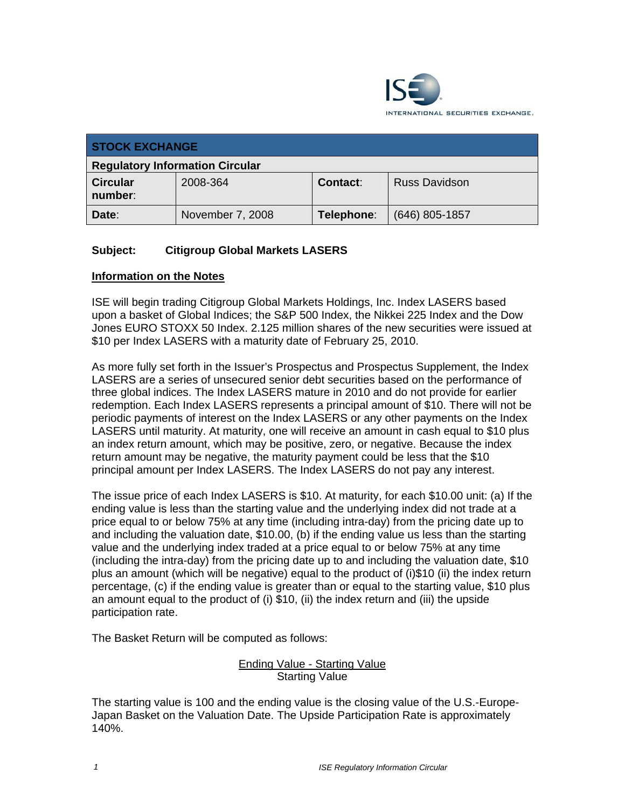

| <b>STOCK EXCHANGE</b>                  |                  |                 |                      |  |
|----------------------------------------|------------------|-----------------|----------------------|--|
| <b>Regulatory Information Circular</b> |                  |                 |                      |  |
| <b>Circular</b><br>number:             | 2008-364         | <b>Contact:</b> | <b>Russ Davidson</b> |  |
| Date:                                  | November 7, 2008 | Telephone:      | $(646)$ 805-1857     |  |

## **Subject: Citigroup Global Markets LASERS**

## **Information on the Notes**

ISE will begin trading Citigroup Global Markets Holdings, Inc. Index LASERS based upon a basket of Global Indices; the S&P 500 Index, the Nikkei 225 Index and the Dow Jones EURO STOXX 50 Index. 2.125 million shares of the new securities were issued at \$10 per Index LASERS with a maturity date of February 25, 2010.

As more fully set forth in the Issuer's Prospectus and Prospectus Supplement, the Index LASERS are a series of unsecured senior debt securities based on the performance of three global indices. The Index LASERS mature in 2010 and do not provide for earlier redemption. Each Index LASERS represents a principal amount of \$10. There will not be periodic payments of interest on the Index LASERS or any other payments on the Index LASERS until maturity. At maturity, one will receive an amount in cash equal to \$10 plus an index return amount, which may be positive, zero, or negative. Because the index return amount may be negative, the maturity payment could be less that the \$10 principal amount per Index LASERS. The Index LASERS do not pay any interest.

The issue price of each Index LASERS is \$10. At maturity, for each \$10.00 unit: (a) If the ending value is less than the starting value and the underlying index did not trade at a price equal to or below 75% at any time (including intra-day) from the pricing date up to and including the valuation date, \$10.00, (b) if the ending value us less than the starting value and the underlying index traded at a price equal to or below 75% at any time (including the intra-day) from the pricing date up to and including the valuation date, \$10 plus an amount (which will be negative) equal to the product of (i)\$10 (ii) the index return percentage, (c) if the ending value is greater than or equal to the starting value, \$10 plus an amount equal to the product of (i) \$10, (ii) the index return and (iii) the upside participation rate.

The Basket Return will be computed as follows:

## Ending Value - Starting Value Starting Value

The starting value is 100 and the ending value is the closing value of the U.S.-Europe-Japan Basket on the Valuation Date. The Upside Participation Rate is approximately 140%.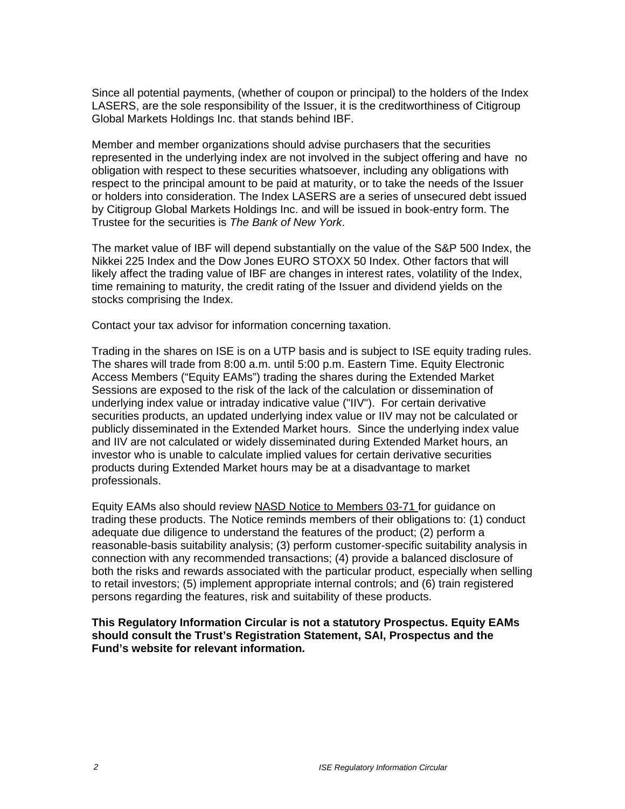Since all potential payments, (whether of coupon or principal) to the holders of the Index LASERS, are the sole responsibility of the Issuer, it is the creditworthiness of Citigroup Global Markets Holdings Inc. that stands behind IBF.

Member and member organizations should advise purchasers that the securities represented in the underlying index are not involved in the subject offering and have no obligation with respect to these securities whatsoever, including any obligations with respect to the principal amount to be paid at maturity, or to take the needs of the Issuer or holders into consideration. The Index LASERS are a series of unsecured debt issued by Citigroup Global Markets Holdings Inc. and will be issued in book-entry form. The Trustee for the securities is *The Bank of New York*.

The market value of IBF will depend substantially on the value of the S&P 500 Index, the Nikkei 225 Index and the Dow Jones EURO STOXX 50 Index. Other factors that will likely affect the trading value of IBF are changes in interest rates, volatility of the Index, time remaining to maturity, the credit rating of the Issuer and dividend yields on the stocks comprising the Index.

Contact your tax advisor for information concerning taxation.

Trading in the shares on ISE is on a UTP basis and is subject to ISE equity trading rules. The shares will trade from 8:00 a.m. until 5:00 p.m. Eastern Time. Equity Electronic Access Members ("Equity EAMs") trading the shares during the Extended Market Sessions are exposed to the risk of the lack of the calculation or dissemination of underlying index value or intraday indicative value ("IIV"). For certain derivative securities products, an updated underlying index value or IIV may not be calculated or publicly disseminated in the Extended Market hours. Since the underlying index value and IIV are not calculated or widely disseminated during Extended Market hours, an investor who is unable to calculate implied values for certain derivative securities products during Extended Market hours may be at a disadvantage to market professionals.

Equity EAMs also should review NASD Notice to Members 03-71 for guidance on trading these products. The Notice reminds members of their obligations to: (1) conduct adequate due diligence to understand the features of the product; (2) perform a reasonable-basis suitability analysis; (3) perform customer-specific suitability analysis in connection with any recommended transactions; (4) provide a balanced disclosure of both the risks and rewards associated with the particular product, especially when selling to retail investors; (5) implement appropriate internal controls; and (6) train registered persons regarding the features, risk and suitability of these products.

**This Regulatory Information Circular is not a statutory Prospectus. Equity EAMs should consult the Trust's Registration Statement, SAI, Prospectus and the Fund's website for relevant information.**